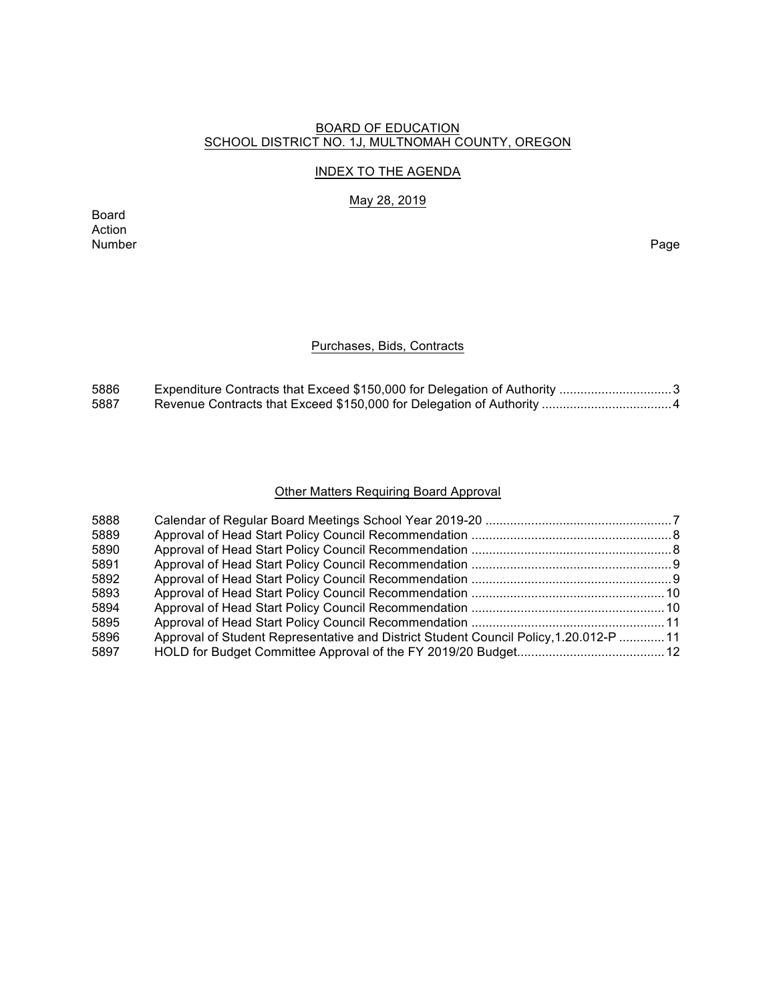# BOARD OF EDUCATION SCHOOL DISTRICT NO. 1J, MULTNOMAH COUNTY, OREGON

## INDEX TO THE AGENDA

May 28, 2019

Board Action<br>Number Number Page

### Purchases, Bids, Contracts

| 5886 | Expenditure Contracts that Exceed \$150,000 for Delegation of Authority 3 |
|------|---------------------------------------------------------------------------|
| 5887 |                                                                           |

### Other Matters Requiring Board Approval

| 5888 |                                                                                        |  |
|------|----------------------------------------------------------------------------------------|--|
| 5889 |                                                                                        |  |
| 5890 |                                                                                        |  |
| 5891 |                                                                                        |  |
| 5892 |                                                                                        |  |
| 5893 |                                                                                        |  |
| 5894 |                                                                                        |  |
| 5895 |                                                                                        |  |
| 5896 | Approval of Student Representative and District Student Council Policy, 1.20.012-P  11 |  |
| 5897 |                                                                                        |  |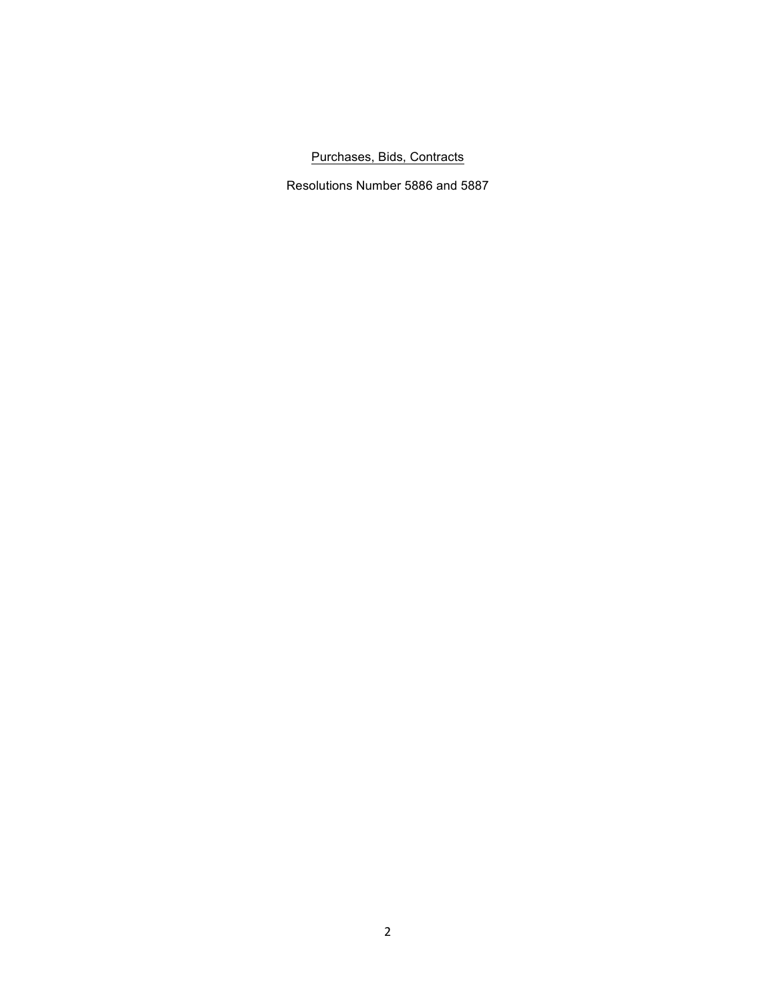# Purchases, Bids, Contracts

Resolutions Number 5886 and 5887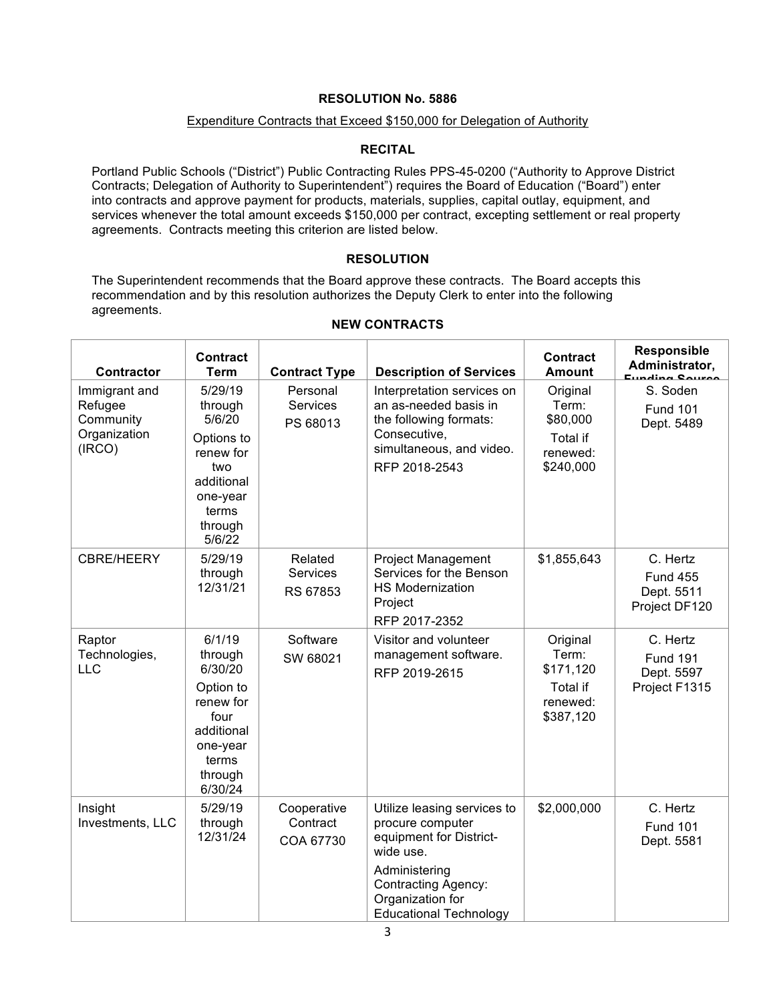## Expenditure Contracts that Exceed \$150,000 for Delegation of Authority

## **RECITAL**

Portland Public Schools ("District") Public Contracting Rules PPS-45-0200 ("Authority to Approve District Contracts; Delegation of Authority to Superintendent") requires the Board of Education ("Board") enter into contracts and approve payment for products, materials, supplies, capital outlay, equipment, and services whenever the total amount exceeds \$150,000 per contract, excepting settlement or real property agreements. Contracts meeting this criterion are listed below.

# **RESOLUTION**

The Superintendent recommends that the Board approve these contracts. The Board accepts this recommendation and by this resolution authorizes the Deputy Clerk to enter into the following agreements.

| <b>Contractor</b>                                               | <b>Contract</b><br><b>Term</b>                                                                                          | <b>Contract Type</b>                    | <b>Description of Services</b>                                                                                                                                                              | <b>Contract</b><br><b>Amount</b>                                    | <b>Responsible</b><br>Administrator,                       |
|-----------------------------------------------------------------|-------------------------------------------------------------------------------------------------------------------------|-----------------------------------------|---------------------------------------------------------------------------------------------------------------------------------------------------------------------------------------------|---------------------------------------------------------------------|------------------------------------------------------------|
| Immigrant and<br>Refugee<br>Community<br>Organization<br>(IRCO) | 5/29/19<br>through<br>5/6/20<br>Options to<br>renew for<br>two<br>additional<br>one-year<br>terms<br>through<br>5/6/22  | Personal<br><b>Services</b><br>PS 68013 | Interpretation services on<br>an as-needed basis in<br>the following formats:<br>Consecutive,<br>simultaneous, and video.<br>RFP 2018-2543                                                  | Original<br>Term:<br>\$80,000<br>Total if<br>renewed:<br>\$240,000  | S. Soden<br><b>Fund 101</b><br>Dept. 5489                  |
| <b>CBRE/HEERY</b>                                               | 5/29/19<br>through<br>12/31/21                                                                                          | Related<br>Services<br>RS 67853         | <b>Project Management</b><br>Services for the Benson<br><b>HS Modernization</b><br>Project<br>RFP 2017-2352                                                                                 | \$1,855,643                                                         | C. Hertz<br><b>Fund 455</b><br>Dept. 5511<br>Project DF120 |
| Raptor<br>Technologies,<br>LLC                                  | 6/1/19<br>through<br>6/30/20<br>Option to<br>renew for<br>four<br>additional<br>one-year<br>terms<br>through<br>6/30/24 | Software<br>SW 68021                    | Visitor and volunteer<br>management software.<br>RFP 2019-2615                                                                                                                              | Original<br>Term:<br>\$171,120<br>Total if<br>renewed:<br>\$387,120 | C. Hertz<br><b>Fund 191</b><br>Dept. 5597<br>Project F1315 |
| Insight<br>Investments, LLC                                     | 5/29/19<br>through<br>12/31/24                                                                                          | Cooperative<br>Contract<br>COA 67730    | Utilize leasing services to<br>procure computer<br>equipment for District-<br>wide use.<br>Administering<br><b>Contracting Agency:</b><br>Organization for<br><b>Educational Technology</b> | \$2,000,000                                                         | C. Hertz<br><b>Fund 101</b><br>Dept. 5581                  |

## **NEW CONTRACTS**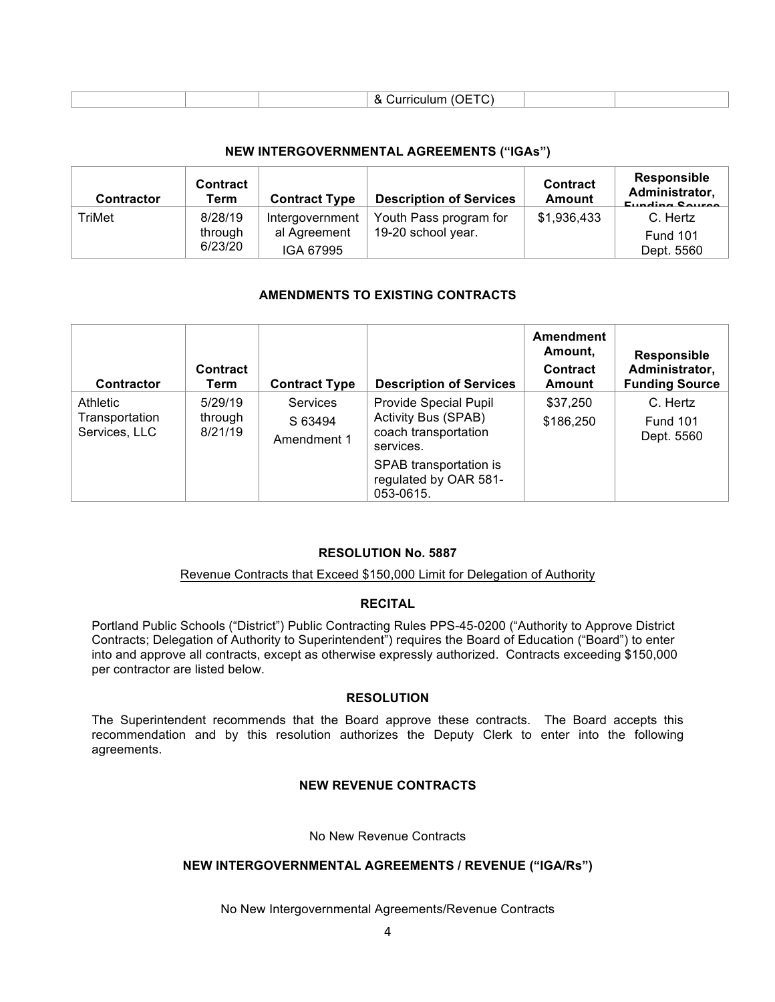| . .<br>$\overline{\phantom{a}}$ |  |  |
|---------------------------------|--|--|
|                                 |  |  |

### **NEW INTERGOVERNMENTAL AGREEMENTS ("IGAs")**

| <b>Contractor</b> | <b>Contract</b><br>Term | <b>Contract Type</b> | <b>Description of Services</b> | <b>Contract</b><br>Amount | <b>Responsible</b><br>Administrator,<br>$E_{t}$ in all in a $E_{t}$ is the $\sim$ |
|-------------------|-------------------------|----------------------|--------------------------------|---------------------------|-----------------------------------------------------------------------------------|
| TriMet            | 8/28/19                 | Intergovernment      | Youth Pass program for         | \$1,936,433               | C. Hertz                                                                          |
|                   | through                 | al Agreement         | 19-20 school year.             |                           | <b>Fund 101</b>                                                                   |
|                   | 6/23/20                 | IGA 67995            |                                |                           | Dept. 5560                                                                        |

#### **AMENDMENTS TO EXISTING CONTRACTS**

| <b>Contractor</b>                                  | <b>Contract</b><br>Term       | <b>Contract Type</b>                      | <b>Description of Services</b>                                                           | Amendment<br>Amount,<br>Contract<br>Amount | <b>Responsible</b><br>Administrator,<br><b>Funding Source</b> |
|----------------------------------------------------|-------------------------------|-------------------------------------------|------------------------------------------------------------------------------------------|--------------------------------------------|---------------------------------------------------------------|
| <b>Athletic</b><br>Transportation<br>Services, LLC | 5/29/19<br>through<br>8/21/19 | <b>Services</b><br>S 63494<br>Amendment 1 | Provide Special Pupil<br><b>Activity Bus (SPAB)</b><br>coach transportation<br>services. | \$37,250<br>\$186,250                      | C. Hertz<br><b>Fund 101</b><br>Dept. 5560                     |
|                                                    |                               |                                           | SPAB transportation is<br>regulated by OAR 581-<br>053-0615.                             |                                            |                                                               |

#### **RESOLUTION No. 5887**

#### Revenue Contracts that Exceed \$150,000 Limit for Delegation of Authority

#### **RECITAL**

Portland Public Schools ("District") Public Contracting Rules PPS-45-0200 ("Authority to Approve District Contracts; Delegation of Authority to Superintendent") requires the Board of Education ("Board") to enter into and approve all contracts, except as otherwise expressly authorized. Contracts exceeding \$150,000 per contractor are listed below.

#### **RESOLUTION**

The Superintendent recommends that the Board approve these contracts. The Board accepts this recommendation and by this resolution authorizes the Deputy Clerk to enter into the following agreements.

#### **NEW REVENUE CONTRACTS**

No New Revenue Contracts

#### **NEW INTERGOVERNMENTAL AGREEMENTS / REVENUE ("IGA/Rs")**

No New Intergovernmental Agreements/Revenue Contracts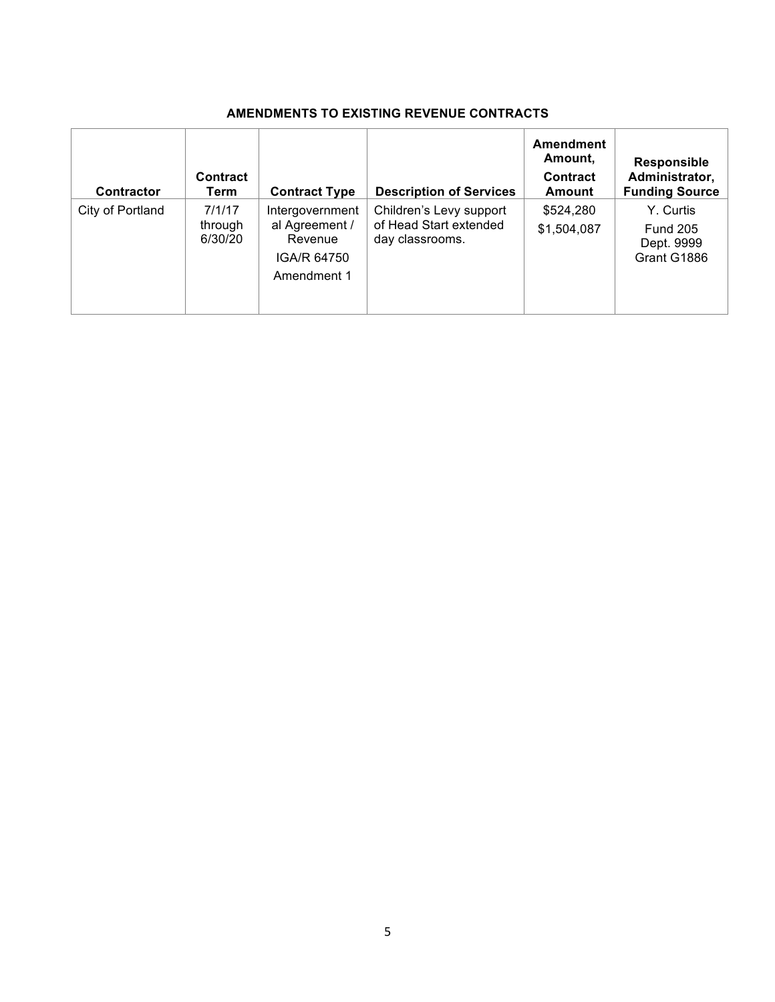# **AMENDMENTS TO EXISTING REVENUE CONTRACTS**

| <b>Contractor</b> | <b>Contract</b><br>Term      | <b>Contract Type</b>                                                       | <b>Description of Services</b>                                       | Amendment<br>Amount.<br>Contract<br>Amount | Responsible<br>Administrator,<br><b>Funding Source</b>    |
|-------------------|------------------------------|----------------------------------------------------------------------------|----------------------------------------------------------------------|--------------------------------------------|-----------------------------------------------------------|
| City of Portland  | 7/1/17<br>through<br>6/30/20 | Intergovernment<br>al Agreement /<br>Revenue<br>IGA/R 64750<br>Amendment 1 | Children's Levy support<br>of Head Start extended<br>day classrooms. | \$524,280<br>\$1,504,087                   | Y. Curtis<br><b>Fund 205</b><br>Dept. 9999<br>Grant G1886 |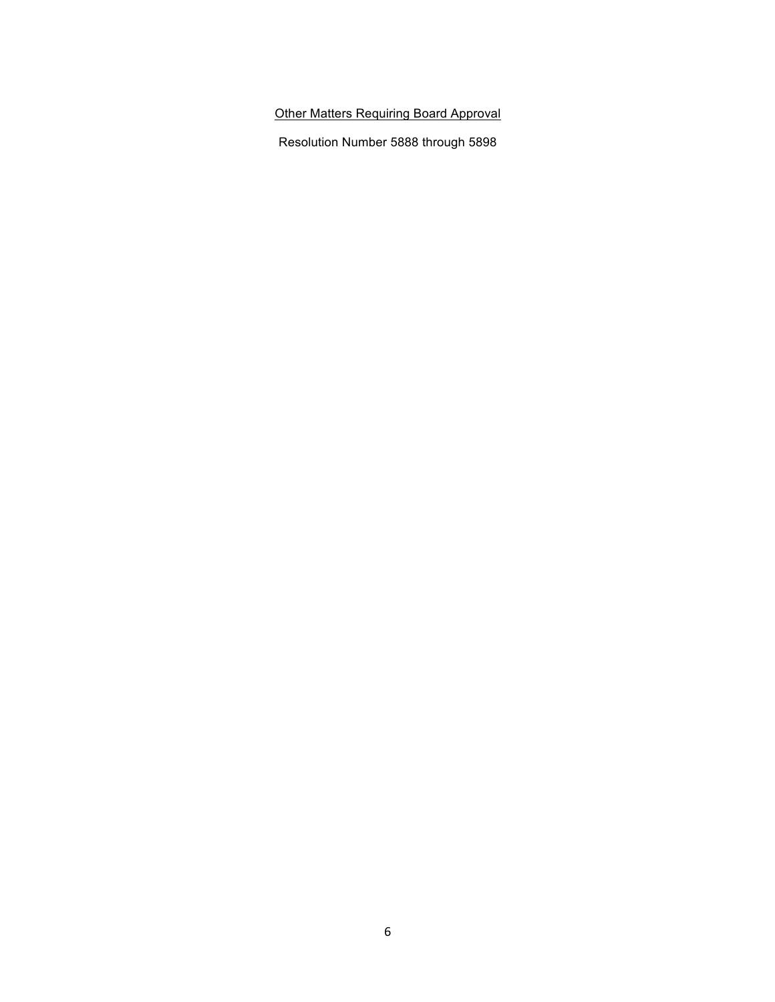# Other Matters Requiring Board Approval

Resolution Number 5888 through 5898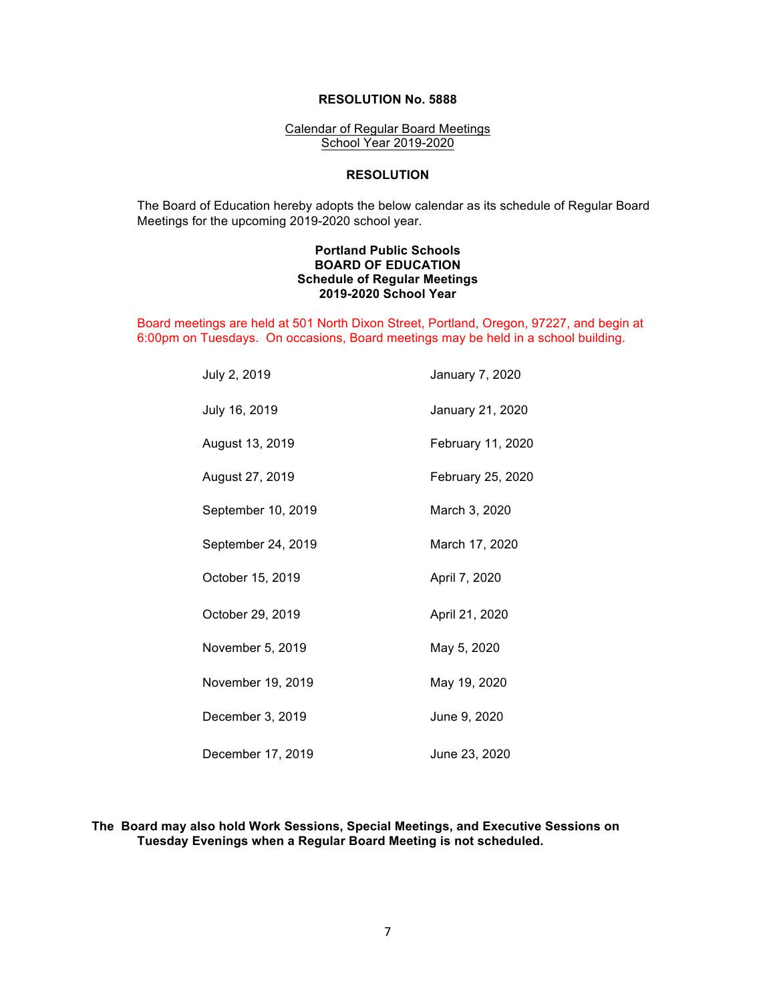#### Calendar of Regular Board Meetings School Year 2019-2020

#### **RESOLUTION**

The Board of Education hereby adopts the below calendar as its schedule of Regular Board Meetings for the upcoming 2019-2020 school year.

#### **Portland Public Schools BOARD OF EDUCATION Schedule of Regular Meetings 2019-2020 School Year**

Board meetings are held at 501 North Dixon Street, Portland, Oregon, 97227, and begin at 6:00pm on Tuesdays. On occasions, Board meetings may be held in a school building.

| July 2, 2019       | January 7, 2020   |
|--------------------|-------------------|
| July 16, 2019      | January 21, 2020  |
| August 13, 2019    | February 11, 2020 |
| August 27, 2019    | February 25, 2020 |
| September 10, 2019 | March 3, 2020     |
| September 24, 2019 | March 17, 2020    |
| October 15, 2019   | April 7, 2020     |
| October 29, 2019   | April 21, 2020    |
| November 5, 2019   | May 5, 2020       |
| November 19, 2019  | May 19, 2020      |
| December 3, 2019   | June 9, 2020      |
| December 17, 2019  | June 23, 2020     |

**The Board may also hold Work Sessions, Special Meetings, and Executive Sessions on Tuesday Evenings when a Regular Board Meeting is not scheduled.**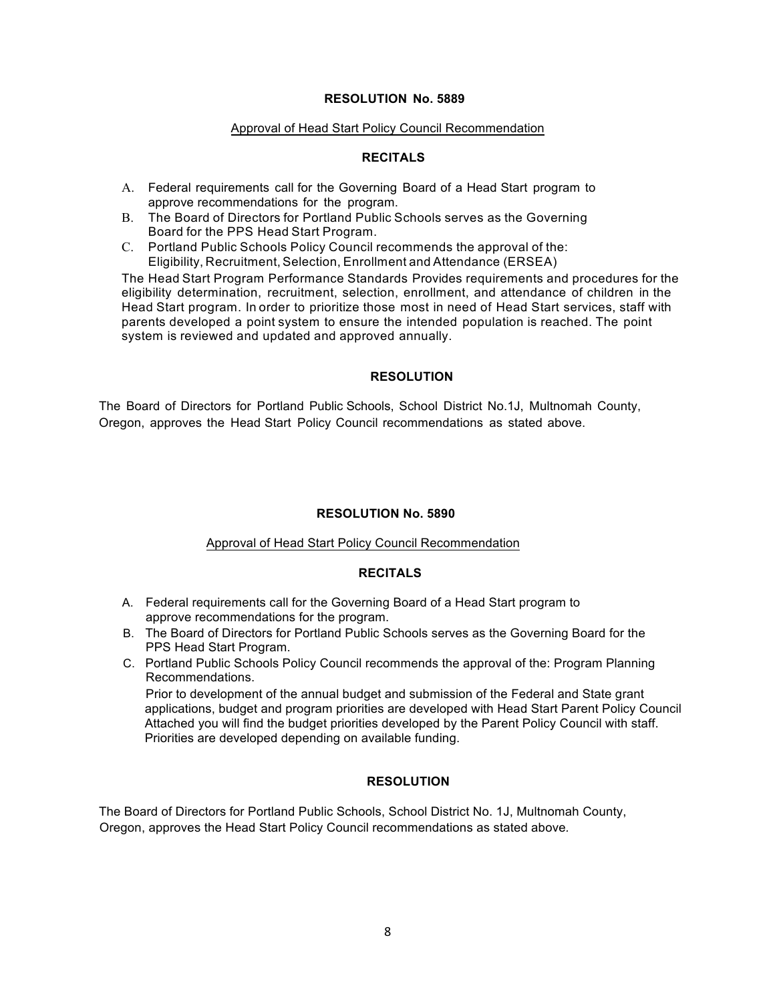#### Approval of Head Start Policy Council Recommendation

### **RECITALS**

- A. Federal requirements call for the Governing Board of a Head Start program to approve recommendations for the program.
- B. The Board of Directors for Portland Public Schools serves as the Governing Board for the PPS Head Start Program.
- C. Portland Public Schools Policy Council recommends the approval of the: Eligibility, Recruitment,Selection, Enrollment and Attendance (ERSEA)

The Head Start Program Performance Standards Provides requirements and procedures for the eligibility determination, recruitment, selection, enrollment, and attendance of children in the Head Start program. In order to prioritize those most in need of Head Start services, staff with parents developed a point system to ensure the intended population is reached. The point system is reviewed and updated and approved annually.

### **RESOLUTION**

The Board of Directors for Portland Public Schools, School District No.1J, Multnomah County, Oregon, approves the Head Start Policy Council recommendations as stated above.

#### **RESOLUTION No. 5890**

#### Approval of Head Start Policy Council Recommendation

#### **RECITALS**

- A. Federal requirements call for the Governing Board of a Head Start program to approve recommendations for the program.
- B. The Board of Directors for Portland Public Schools serves as the Governing Board for the PPS Head Start Program.
- C. Portland Public Schools Policy Council recommends the approval of the: Program Planning Recommendations.

Prior to development of the annual budget and submission of the Federal and State grant applications, budget and program priorities are developed with Head Start Parent Policy Council Attached you will find the budget priorities developed by the Parent Policy Council with staff. Priorities are developed depending on available funding.

#### **RESOLUTION**

The Board of Directors for Portland Public Schools, School District No. 1J, Multnomah County, Oregon, approves the Head Start Policy Council recommendations as stated above*.*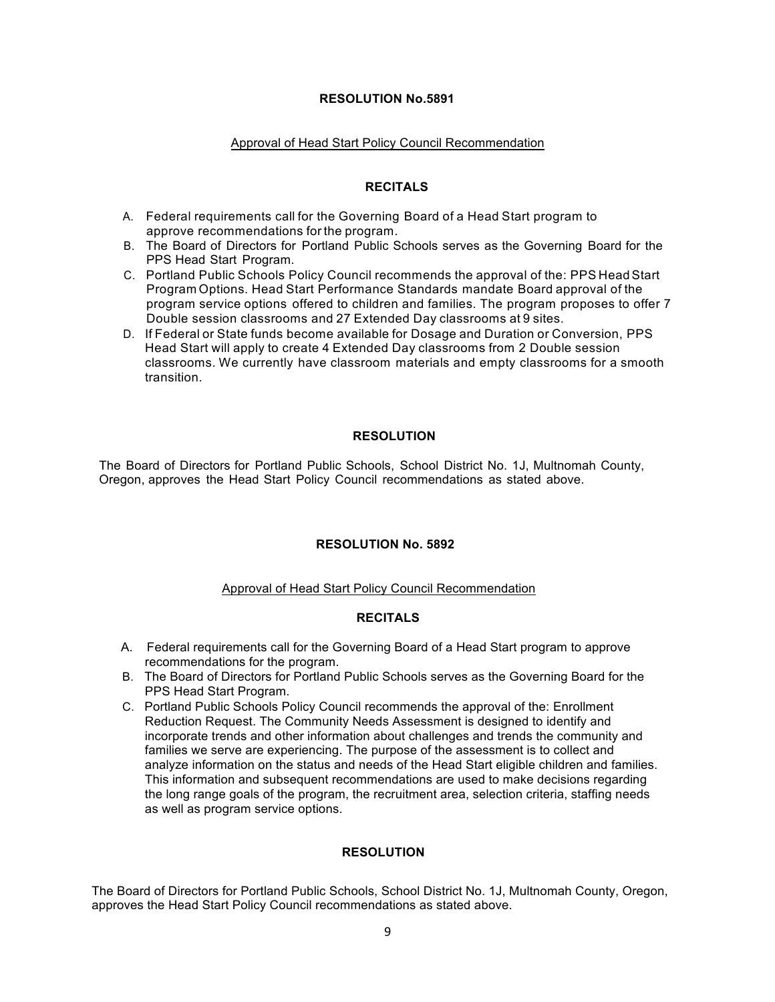### Approval of Head Start Policy Council Recommendation

## **RECITALS**

- A. Federal requirements call for the Governing Board of a Head Start program to approve recommendations for the program.
- B. The Board of Directors for Portland Public Schools serves as the Governing Board for the PPS Head Start Program.
- C. Portland Public Schools Policy Council recommends the approval of the: PPS HeadStart Program Options. Head Start Performance Standards mandate Board approval of the program service options offered to children and families. The program proposes to offer 7 Double session classrooms and 27 Extended Day classrooms at 9 sites.
- D. If Federal or State funds become available for Dosage and Duration or Conversion, PPS Head Start will apply to create 4 Extended Day classrooms from 2 Double session classrooms. We currently have classroom materials and empty classrooms for a smooth transition.

#### **RESOLUTION**

The Board of Directors for Portland Public Schools, School District No. 1J, Multnomah County, Oregon, approves the Head Start Policy Council recommendations as stated above.

#### **RESOLUTION No. 5892**

#### Approval of Head Start Policy Council Recommendation

#### **RECITALS**

- A. Federal requirements call for the Governing Board of a Head Start program to approve recommendations for the program.
- B. The Board of Directors for Portland Public Schools serves as the Governing Board for the PPS Head Start Program.
- C. Portland Public Schools Policy Council recommends the approval of the: Enrollment Reduction Request. The Community Needs Assessment is designed to identify and incorporate trends and other information about challenges and trends the community and families we serve are experiencing. The purpose of the assessment is to collect and analyze information on the status and needs of the Head Start eligible children and families. This information and subsequent recommendations are used to make decisions regarding the long range goals of the program, the recruitment area, selection criteria, staffing needs as well as program service options.

#### **RESOLUTION**

The Board of Directors for Portland Public Schools, School District No. 1J, Multnomah County, Oregon, approves the Head Start Policy Council recommendations as stated above.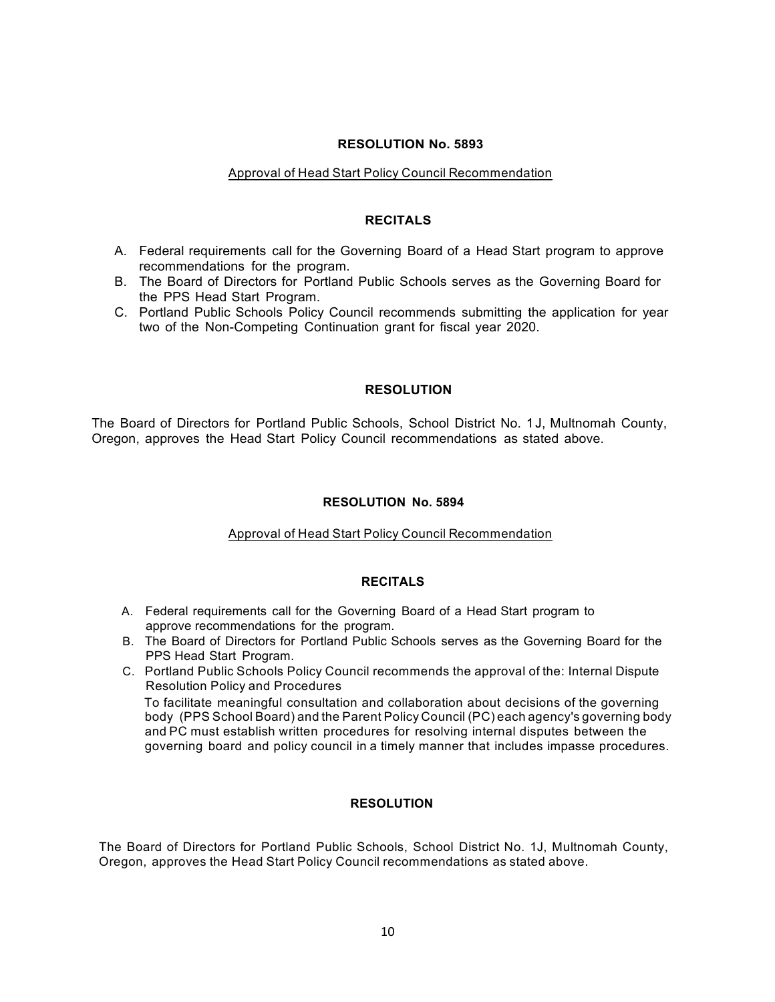## Approval of Head Start Policy Council Recommendation

### **RECITALS**

- A. Federal requirements call for the Governing Board of a Head Start program to approve recommendations for the program.
- B. The Board of Directors for Portland Public Schools serves as the Governing Board for the PPS Head Start Program.
- C. Portland Public Schools Policy Council recommends submitting the application for year two of the Non-Competing Continuation grant for fiscal year 2020.

### **RESOLUTION**

The Board of Directors for Portland Public Schools, School District No. 1J, Multnomah County, Oregon, approves the Head Start Policy Council recommendations as stated above.

#### **RESOLUTION No. 5894**

#### Approval of Head Start Policy Council Recommendation

#### **RECITALS**

- A. Federal requirements call for the Governing Board of a Head Start program to approve recommendations for the program.
- B. The Board of Directors for Portland Public Schools serves as the Governing Board for the PPS Head Start Program.
- C. Portland Public Schools Policy Council recommends the approval of the: Internal Dispute Resolution Policy and Procedures

To facilitate meaningful consultation and collaboration about decisions of the governing body (PPS School Board) and the Parent Policy Council (PC) each agency's governing body and PC must establish written procedures for resolving internal disputes between the governing board and policy council in a timely manner that includes impasse procedures.

#### **RESOLUTION**

The Board of Directors for Portland Public Schools, School District No. 1J, Multnomah County, Oregon, approves the Head Start Policy Council recommendations as stated above.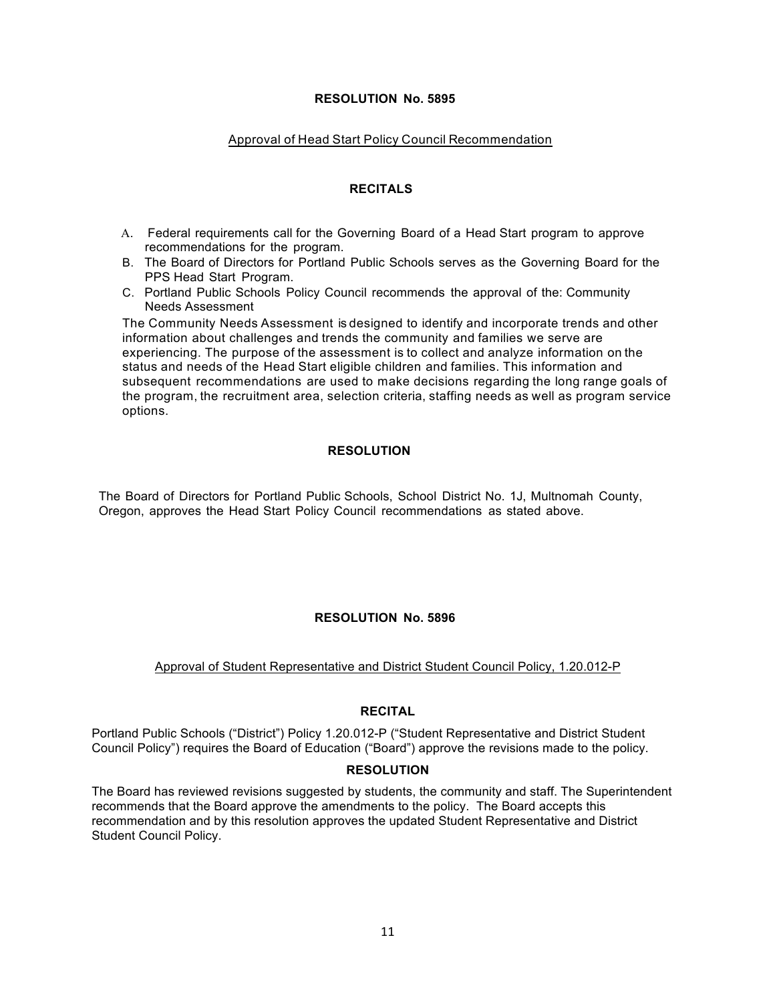### Approval of Head Start Policy Council Recommendation

## **RECITALS**

- A. Federal requirements call for the Governing Board of a Head Start program to approve recommendations for the program.
- B. The Board of Directors for Portland Public Schools serves as the Governing Board for the PPS Head Start Program.
- C. Portland Public Schools Policy Council recommends the approval of the: Community Needs Assessment

The Community Needs Assessment is designed to identify and incorporate trends and other information about challenges and trends the community and families we serve are experiencing. The purpose of the assessment is to collect and analyze information on the status and needs of the Head Start eligible children and families. This information and subsequent recommendations are used to make decisions regarding the long range goals of the program, the recruitment area, selection criteria, staffing needs as well as program service options.

### **RESOLUTION**

The Board of Directors for Portland Public Schools, School District No. 1J, Multnomah County, Oregon, approves the Head Start Policy Council recommendations as stated above.

#### **RESOLUTION No. 5896**

#### Approval of Student Representative and District Student Council Policy, 1.20.012-P

# **RECITAL**

Portland Public Schools ("District") Policy 1.20.012-P ("Student Representative and District Student Council Policy") requires the Board of Education ("Board") approve the revisions made to the policy.

#### **RESOLUTION**

The Board has reviewed revisions suggested by students, the community and staff. The Superintendent recommends that the Board approve the amendments to the policy. The Board accepts this recommendation and by this resolution approves the updated Student Representative and District Student Council Policy.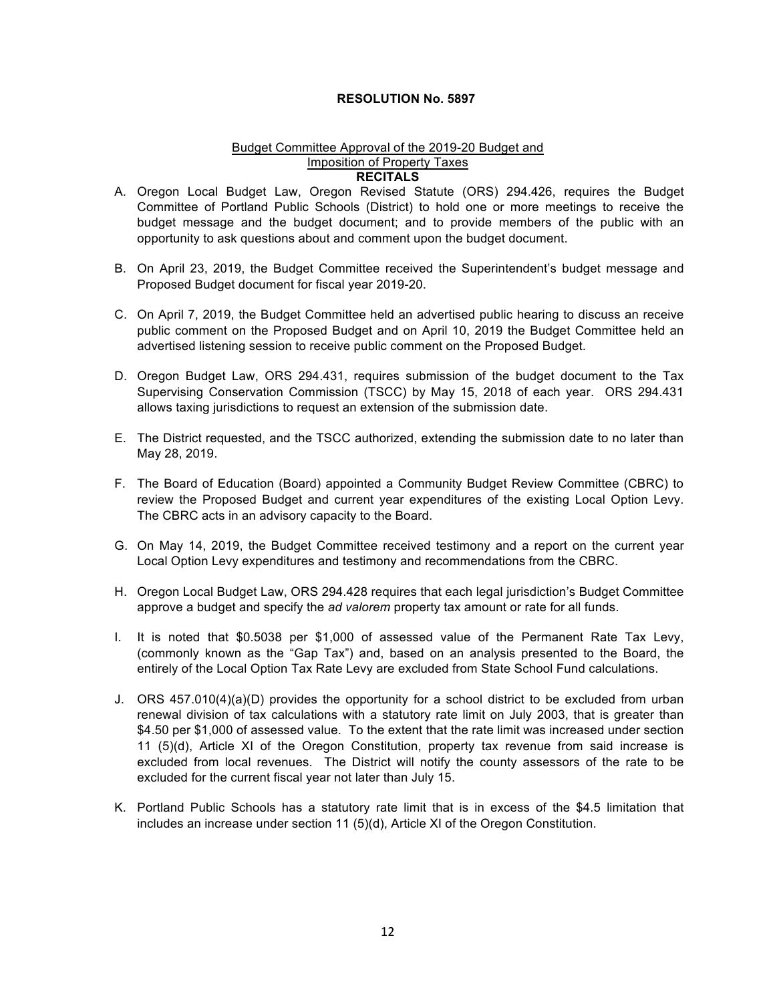# Budget Committee Approval of the 2019-20 Budget and Imposition of Property Taxes

# **RECITALS**

- A. Oregon Local Budget Law, Oregon Revised Statute (ORS) 294.426, requires the Budget Committee of Portland Public Schools (District) to hold one or more meetings to receive the budget message and the budget document; and to provide members of the public with an opportunity to ask questions about and comment upon the budget document.
- B. On April 23, 2019, the Budget Committee received the Superintendent's budget message and Proposed Budget document for fiscal year 2019-20.
- C. On April 7, 2019, the Budget Committee held an advertised public hearing to discuss an receive public comment on the Proposed Budget and on April 10, 2019 the Budget Committee held an advertised listening session to receive public comment on the Proposed Budget.
- D. Oregon Budget Law, ORS 294.431, requires submission of the budget document to the Tax Supervising Conservation Commission (TSCC) by May 15, 2018 of each year. ORS 294.431 allows taxing jurisdictions to request an extension of the submission date.
- E. The District requested, and the TSCC authorized, extending the submission date to no later than May 28, 2019.
- F. The Board of Education (Board) appointed a Community Budget Review Committee (CBRC) to review the Proposed Budget and current year expenditures of the existing Local Option Levy. The CBRC acts in an advisory capacity to the Board.
- G. On May 14, 2019, the Budget Committee received testimony and a report on the current year Local Option Levy expenditures and testimony and recommendations from the CBRC.
- H. Oregon Local Budget Law, ORS 294.428 requires that each legal jurisdiction's Budget Committee approve a budget and specify the *ad valorem* property tax amount or rate for all funds.
- I. It is noted that \$0.5038 per \$1,000 of assessed value of the Permanent Rate Tax Levy, (commonly known as the "Gap Tax") and, based on an analysis presented to the Board, the entirely of the Local Option Tax Rate Levy are excluded from State School Fund calculations.
- J. ORS 457.010(4)(a)(D) provides the opportunity for a school district to be excluded from urban renewal division of tax calculations with a statutory rate limit on July 2003, that is greater than \$4.50 per \$1,000 of assessed value. To the extent that the rate limit was increased under section 11 (5)(d), Article XI of the Oregon Constitution, property tax revenue from said increase is excluded from local revenues. The District will notify the county assessors of the rate to be excluded for the current fiscal year not later than July 15.
- K. Portland Public Schools has a statutory rate limit that is in excess of the \$4.5 limitation that includes an increase under section 11 (5)(d), Article XI of the Oregon Constitution.